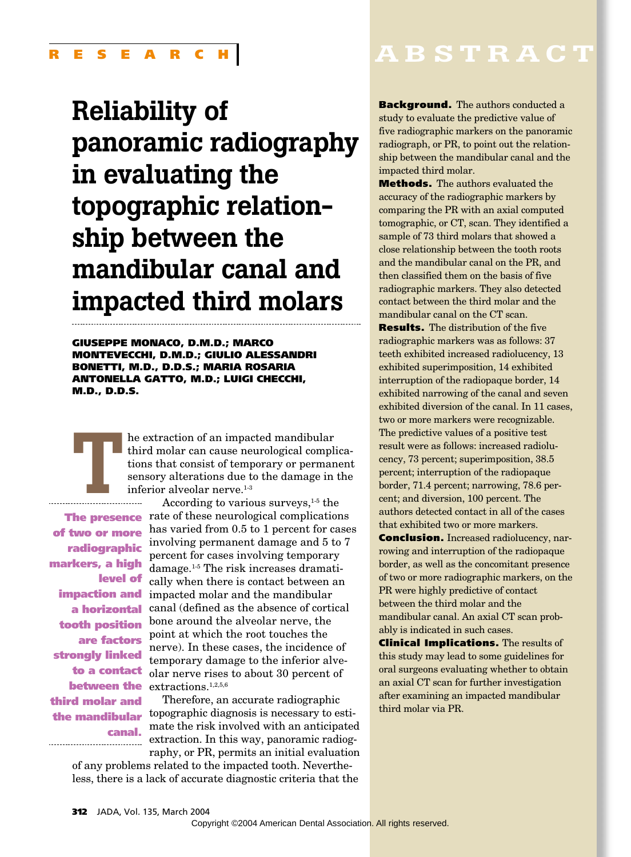# **Reliability of panoramic radiography in evaluating the topographic relationship between the mandibular canal and impacted third molars**

**GIUSEPPE MONACO, D.M.D.; MARCO MONTEVECCHI, D.M.D.; GIULIO ALESSANDRI BONETTI, M.D., D.D.S.; MARIA ROSARIA ANTONELLA GATTO, M.D.; LUIGI CHECCHI, M.D., D.D.S.**

**T** he extraction of an impacted mandibular<br>third molar can cause neurological compl<br>tions that consist of temporary or perman<br>sensory alterations due to the damage in<br>inferior alveolar nerve.<sup>1-3</sup><br>According to various sur third molar can cause neurological complications that consist of temporary or permanent sensory alterations due to the damage in the  $\begin{array}{c|c}\n\hline\n\hline\n\hline\n\end{array}$  inferior alveolar nerve.<sup>1-3</sup>

**of two or more radiographic markers, a high level of impaction and a horizontal tooth position are factors strongly linked to a contact between the third molar and canal.** ---------------------------------

According to various surveys,  $1-5$  the The **presence** rate of these neurological complications has varied from 0.5 to 1 percent for cases involving permanent damage and 5 to 7 percent for cases involving temporary damage.1-5 The risk increases dramatically when there is contact between an impacted molar and the mandibular canal (defined as the absence of cortical bone around the alveolar nerve, the point at which the root touches the nerve). In these cases, the incidence of temporary damage to the inferior alveolar nerve rises to about 30 percent of extractions.<sup>1,2,5,6</sup>

Therefore, an accurate radiographic **the mandibular** topographic diagnosis is necessary to estimate the risk involved with an anticipated extraction. In this way, panoramic radiography, or PR, permits an initial evaluation

of any problems related to the impacted tooth. Nevertheless, there is a lack of accurate diagnostic criteria that the

## **ABSTRACT**

**Background.** The authors conducted a study to evaluate the predictive value of five radiographic markers on the panoramic radiograph, or PR, to point out the relationship between the mandibular canal and the impacted third molar.

**Methods.** The authors evaluated the accuracy of the radiographic markers by comparing the PR with an axial computed tomographic, or CT, scan. They identified a sample of 73 third molars that showed a close relationship between the tooth roots and the mandibular canal on the PR, and then classified them on the basis of five radiographic markers. They also detected contact between the third molar and the mandibular canal on the CT scan.

**Results.** The distribution of the five radiographic markers was as follows: 37 teeth exhibited increased radiolucency, 13 exhibited superimposition, 14 exhibited interruption of the radiopaque border, 14 exhibited narrowing of the canal and seven exhibited diversion of the canal. In 11 cases, two or more markers were recognizable. The predictive values of a positive test result were as follows: increased radiolucency, 73 percent; superimposition, 38.5 percent; interruption of the radiopaque border, 71.4 percent; narrowing, 78.6 percent; and diversion, 100 percent. The authors detected contact in all of the cases that exhibited two or more markers.

**Conclusion.** Increased radiolucency, narrowing and interruption of the radiopaque border, as well as the concomitant presence of two or more radiographic markers, on the PR were highly predictive of contact between the third molar and the mandibular canal. An axial CT scan probably is indicated in such cases.

**Clinical Implications.** The results of this study may lead to some guidelines for oral surgeons evaluating whether to obtain an axial CT scan for further investigation after examining an impacted mandibular third molar via PR.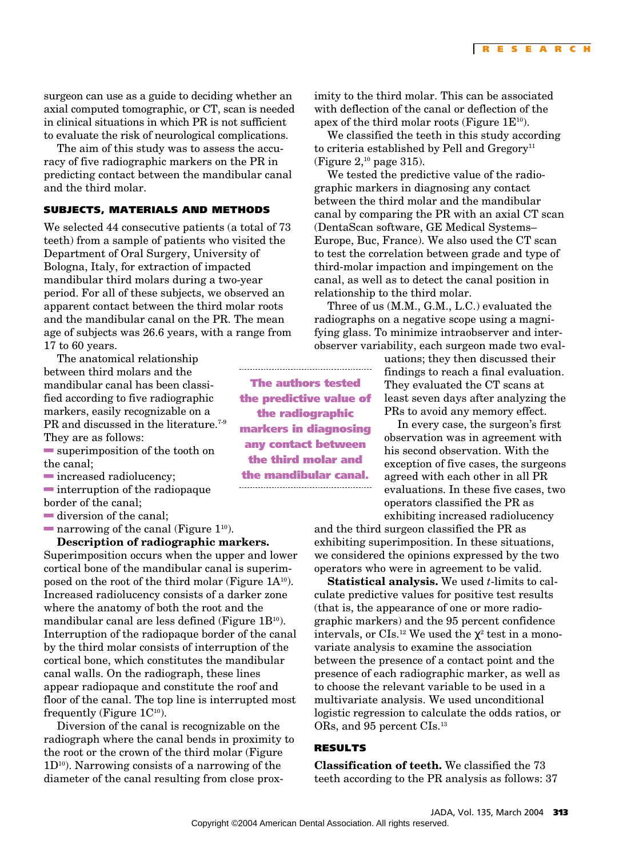surgeon can use as a guide to deciding whether an axial computed tomographic, or CT, scan is needed in clinical situations in which PR is not sufficient to evaluate the risk of neurological complications.

The aim of this study was to assess the accuracy of five radiographic markers on the PR in predicting contact between the mandibular canal and the third molar.

#### **SUBJECTS, MATERIALS AND METHODS**

We selected 44 consecutive patients (a total of 73 teeth) from a sample of patients who visited the Department of Oral Surgery, University of Bologna, Italy, for extraction of impacted mandibular third molars during a two-year period. For all of these subjects, we observed an apparent contact between the third molar roots and the mandibular canal on the PR. The mean age of subjects was 26.6 years, with a range from 17 to 60 years.

The anatomical relationship between third molars and the mandibular canal has been classified according to five radiographic markers, easily recognizable on a PR and discussed in the literature.<sup>7-9</sup> They are as follows:

 $\blacksquare$  superimposition of the tooth on the canal;

increased radiolucency;

 $\blacksquare$  interruption of the radiopaque border of the canal;

 $\blacksquare$  diversion of the canal;

**narrowing of the canal (Figure 1<sup>10</sup>).** 

**Description of radiographic markers.** Superimposition occurs when the upper and lower cortical bone of the mandibular canal is superimposed on the root of the third molar (Figure  $1A^{10}$ ). Increased radiolucency consists of a darker zone where the anatomy of both the root and the mandibular canal are less defined (Figure  $1B^{10}$ ). Interruption of the radiopaque border of the canal by the third molar consists of interruption of the cortical bone, which constitutes the mandibular canal walls. On the radiograph, these lines appear radiopaque and constitute the roof and floor of the canal. The top line is interrupted most frequently (Figure  $1C^{10}$ ).

Diversion of the canal is recognizable on the radiograph where the canal bends in proximity to the root or the crown of the third molar (Figure  $1D^{10}$ ). Narrowing consists of a narrowing of the diameter of the canal resulting from close proximity to the third molar. This can be associated with deflection of the canal or deflection of the apex of the third molar roots (Figure  $1E^{10}$ ).

We classified the teeth in this study according to criteria established by Pell and  $Gregory<sup>11</sup>$ (Figure  $2<sup>10</sup>$  page 315).

We tested the predictive value of the radiographic markers in diagnosing any contact between the third molar and the mandibular canal by comparing the PR with an axial CT scan (DentaScan software, GE Medical Systems– Europe, Buc, France). We also used the CT scan to test the correlation between grade and type of third-molar impaction and impingement on the canal, as well as to detect the canal position in relationship to the third molar.

Three of us (M.M., G.M., L.C.) evaluated the radiographs on a negative scope using a magnifying glass. To minimize intraobserver and interobserver variability, each surgeon made two eval-

> uations; they then discussed their findings to reach a final evaluation. They evaluated the CT scans at least seven days after analyzing the PRs to avoid any memory effect.

> In every case, the surgeon's first observation was in agreement with his second observation. With the exception of five cases, the surgeons agreed with each other in all PR evaluations. In these five cases, two operators classified the PR as exhibiting increased radiolucency

and the third surgeon classified the PR as exhibiting superimposition. In these situations, we considered the opinions expressed by the two operators who were in agreement to be valid.

**Statistical analysis.** We used *t*-limits to calculate predictive values for positive test results (that is, the appearance of one or more radiographic markers) and the 95 percent confidence intervals, or CIs.<sup>12</sup> We used the  $\gamma^2$  test in a monovariate analysis to examine the association between the presence of a contact point and the presence of each radiographic marker, as well as to choose the relevant variable to be used in a multivariate analysis. We used unconditional logistic regression to calculate the odds ratios, or ORs, and 95 percent CIs.<sup>13</sup>

#### **RESULTS**

**Classification of teeth.** We classified the 73 teeth according to the PR analysis as follows: 37

**The authors tested the predictive value of the radiographic markers in diagnosing any contact between the third molar and the mandibular canal.**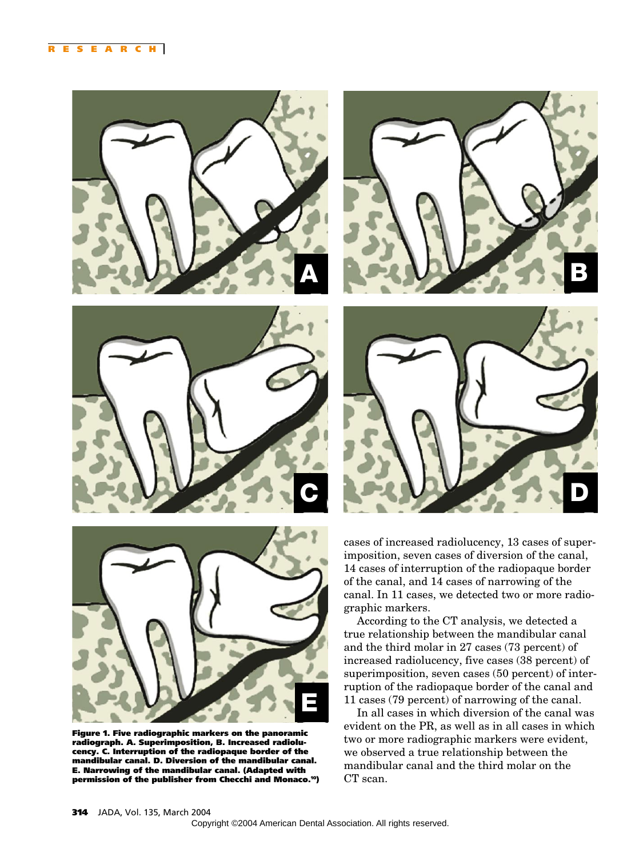



cases of increased radiolucency, 13 cases of superimposition, seven cases of diversion of the canal, 14 cases of interruption of the radiopaque border of the canal, and 14 cases of narrowing of the canal. In 11 cases, we detected two or more radiographic markers.

According to the CT analysis, we detected a true relationship between the mandibular canal and the third molar in 27 cases (73 percent) of increased radiolucency, five cases (38 percent) of superimposition, seven cases (50 percent) of interruption of the radiopaque border of the canal and 11 cases (79 percent) of narrowing of the canal.

In all cases in which diversion of the canal was evident on the PR, as well as in all cases in which two or more radiographic markers were evident, we observed a true relationship between the mandibular canal and the third molar on the CT scan.



**E**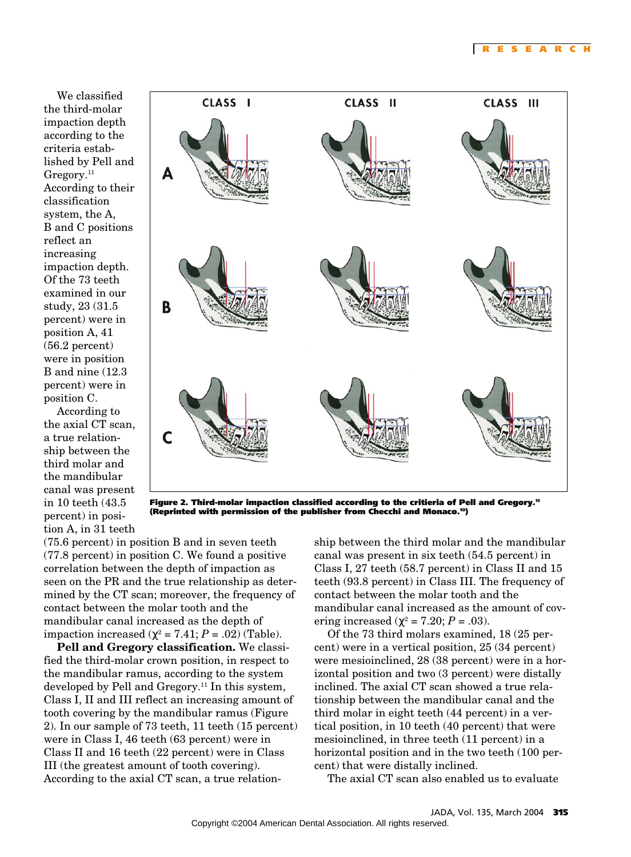We classified the third-molar impaction depth according to the criteria established by Pell and  $G$ regory. $11$ According to their classification system, the A, B and C positions reflect an increasing impaction depth. Of the 73 teeth examined in our study, 23 (31.5 percent) were in position A, 41 (56.2 percent) were in position B and nine (12.3 percent) were in position C.

According to the axial CT scan, a true relationship between the third molar and the mandibular canal was present in 10 teeth (43.5 percent) in position A, in 31 teeth



**Figure 2. Third-molar impaction classified according to the critieria of Pell and Gregory.11 (Reprinted with permission of the publisher from Checchi and Monaco.10)**

(75.6 percent) in position B and in seven teeth (77.8 percent) in position C. We found a positive correlation between the depth of impaction as seen on the PR and the true relationship as determined by the CT scan; moreover, the frequency of contact between the molar tooth and the mandibular canal increased as the depth of impaction increased  $(\chi^2 = 7.41; P = .02)$  (Table).

**Pell and Gregory classification.** We classified the third-molar crown position, in respect to the mandibular ramus, according to the system developed by Pell and Gregory.<sup>11</sup> In this system, Class I, II and III reflect an increasing amount of tooth covering by the mandibular ramus (Figure 2). In our sample of 73 teeth, 11 teeth (15 percent) were in Class I, 46 teeth (63 percent) were in Class II and 16 teeth (22 percent) were in Class III (the greatest amount of tooth covering). According to the axial CT scan, a true relation-

ship between the third molar and the mandibular canal was present in six teeth (54.5 percent) in Class I, 27 teeth (58.7 percent) in Class II and 15 teeth (93.8 percent) in Class III. The frequency of contact between the molar tooth and the mandibular canal increased as the amount of covering increased ( $χ² = 7.20; P = .03$ ).

Of the 73 third molars examined, 18 (25 percent) were in a vertical position, 25 (34 percent) were mesioinclined, 28 (38 percent) were in a horizontal position and two (3 percent) were distally inclined. The axial CT scan showed a true relationship between the mandibular canal and the third molar in eight teeth (44 percent) in a vertical position, in 10 teeth (40 percent) that were mesioinclined, in three teeth (11 percent) in a horizontal position and in the two teeth (100 percent) that were distally inclined.

The axial CT scan also enabled us to evaluate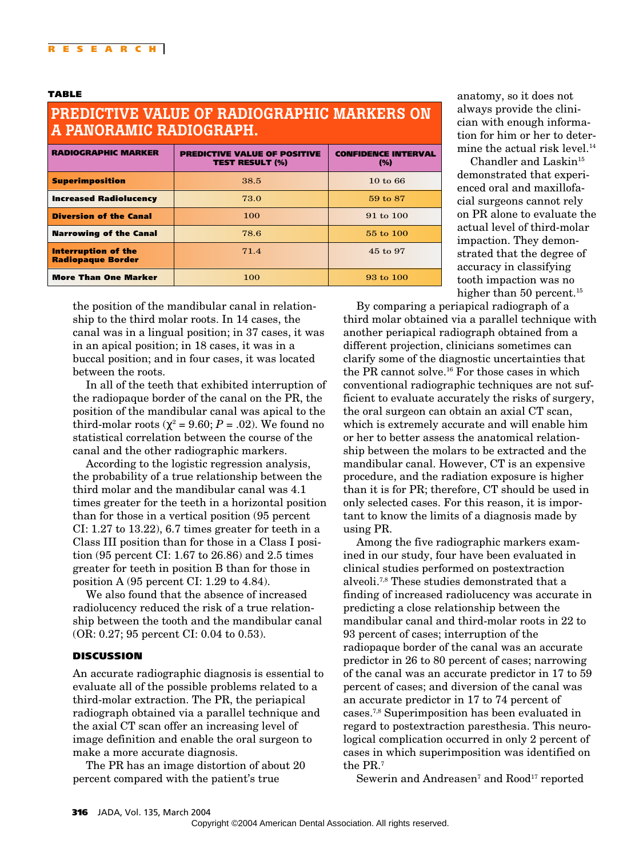### **PREDICTIVE VALUE OF RADIOGRAPHIC MARKERS ON A PANORAMIC RADIOGRAPH.**

| <b>RADIOGRAPHIC MARKER</b>                             | <b>PREDICTIVE VALUE OF POSITIVE</b><br><b>TEST RESULT (%)</b> | <b>CONFIDENCE INTERVAL</b><br>(%) |
|--------------------------------------------------------|---------------------------------------------------------------|-----------------------------------|
| <b>Superimposition</b>                                 | 38.5                                                          | $10 \text{ to } 66$               |
| <b>Increased Radiolucency</b>                          | 73.0                                                          | 59 to 87                          |
| <b>Diversion of the Canal</b>                          | 100                                                           | $91 \text{ to } 100$              |
| <b>Narrowing of the Canal</b>                          | 78.6                                                          | $55 \text{ to } 100$              |
| <b>Interruption of the</b><br><b>Radiopaque Border</b> | 71.4                                                          | 45 to 97                          |
| <b>More Than One Marker</b>                            | 100                                                           | $93 \text{ to } 100$              |

anatomy, so it does not always provide the clinician with enough information for him or her to determine the actual risk level.<sup>14</sup>

Chandler and Laskin $15$ demonstrated that experienced oral and maxillofacial surgeons cannot rely on PR alone to evaluate the actual level of third-molar impaction. They demonstrated that the degree of accuracy in classifying tooth impaction was no higher than 50 percent.<sup>15</sup>

the position of the mandibular canal in relationship to the third molar roots. In 14 cases, the canal was in a lingual position; in 37 cases, it was in an apical position; in 18 cases, it was in a buccal position; and in four cases, it was located between the roots.

In all of the teeth that exhibited interruption of the radiopaque border of the canal on the PR, the position of the mandibular canal was apical to the third-molar roots ( $\chi^2$  = 9.60; *P* = .02). We found no statistical correlation between the course of the canal and the other radiographic markers.

According to the logistic regression analysis, the probability of a true relationship between the third molar and the mandibular canal was 4.1 times greater for the teeth in a horizontal position than for those in a vertical position (95 percent CI: 1.27 to 13.22), 6.7 times greater for teeth in a Class III position than for those in a Class I position (95 percent CI: 1.67 to 26.86) and 2.5 times greater for teeth in position B than for those in position A (95 percent CI: 1.29 to 4.84).

We also found that the absence of increased radiolucency reduced the risk of a true relationship between the tooth and the mandibular canal (OR: 0.27; 95 percent CI: 0.04 to 0.53).

#### **DISCUSSION**

An accurate radiographic diagnosis is essential to evaluate all of the possible problems related to a third-molar extraction. The PR, the periapical radiograph obtained via a parallel technique and the axial CT scan offer an increasing level of image definition and enable the oral surgeon to make a more accurate diagnosis.

The PR has an image distortion of about 20 percent compared with the patient's true

By comparing a periapical radiograph of a third molar obtained via a parallel technique with another periapical radiograph obtained from a different projection, clinicians sometimes can clarify some of the diagnostic uncertainties that the PR cannot solve.<sup>16</sup> For those cases in which conventional radiographic techniques are not sufficient to evaluate accurately the risks of surgery, the oral surgeon can obtain an axial CT scan, which is extremely accurate and will enable him or her to better assess the anatomical relationship between the molars to be extracted and the mandibular canal. However, CT is an expensive procedure, and the radiation exposure is higher than it is for PR; therefore, CT should be used in only selected cases. For this reason, it is important to know the limits of a diagnosis made by using PR.

Among the five radiographic markers examined in our study, four have been evaluated in clinical studies performed on postextraction alveoli.7,8 These studies demonstrated that a finding of increased radiolucency was accurate in predicting a close relationship between the mandibular canal and third-molar roots in 22 to 93 percent of cases; interruption of the radiopaque border of the canal was an accurate predictor in 26 to 80 percent of cases; narrowing of the canal was an accurate predictor in 17 to 59 percent of cases; and diversion of the canal was an accurate predictor in 17 to 74 percent of cases.7,8 Superimposition has been evaluated in regard to postextraction paresthesia. This neurological complication occurred in only 2 percent of cases in which superimposition was identified on the PR.7

Sewerin and Andreasen<sup>7</sup> and Rood<sup>17</sup> reported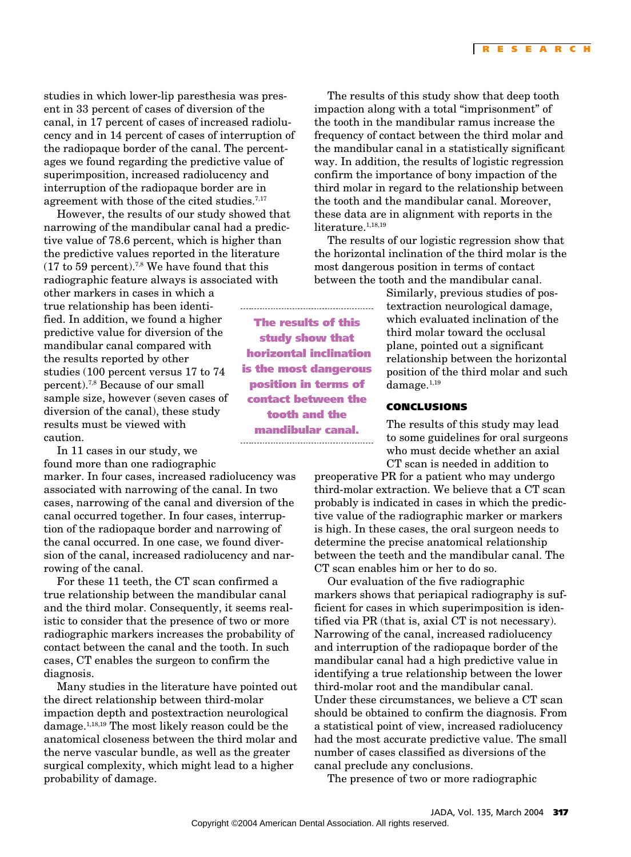studies in which lower-lip paresthesia was present in 33 percent of cases of diversion of the canal, in 17 percent of cases of increased radiolucency and in 14 percent of cases of interruption of the radiopaque border of the canal. The percentages we found regarding the predictive value of superimposition, increased radiolucency and interruption of the radiopaque border are in agreement with those of the cited studies.<sup>7,17</sup>

However, the results of our study showed that narrowing of the mandibular canal had a predictive value of 78.6 percent, which is higher than the predictive values reported in the literature  $(17 \text{ to } 59 \text{ percent})$ .<sup>7,8</sup> We have found that this radiographic feature always is associated with

other markers in cases in which a true relationship has been identified. In addition, we found a higher predictive value for diversion of the mandibular canal compared with the results reported by other studies (100 percent versus 17 to 74 percent).7,8 Because of our small sample size, however (seven cases of diversion of the canal), these study results must be viewed with caution.

In 11 cases in our study, we found more than one radiographic

marker. In four cases, increased radiolucency was associated with narrowing of the canal. In two cases, narrowing of the canal and diversion of the canal occurred together. In four cases, interruption of the radiopaque border and narrowing of the canal occurred. In one case, we found diversion of the canal, increased radiolucency and narrowing of the canal.

For these 11 teeth, the CT scan confirmed a true relationship between the mandibular canal and the third molar. Consequently, it seems realistic to consider that the presence of two or more radiographic markers increases the probability of contact between the canal and the tooth. In such cases, CT enables the surgeon to confirm the diagnosis.

Many studies in the literature have pointed out the direct relationship between third-molar impaction depth and postextraction neurological damage.1,18,19 The most likely reason could be the anatomical closeness between the third molar and the nerve vascular bundle, as well as the greater surgical complexity, which might lead to a higher probability of damage.

The results of this study show that deep tooth impaction along with a total "imprisonment" of the tooth in the mandibular ramus increase the frequency of contact between the third molar and the mandibular canal in a statistically significant way. In addition, the results of logistic regression confirm the importance of bony impaction of the third molar in regard to the relationship between the tooth and the mandibular canal. Moreover, these data are in alignment with reports in the literature. $1,18,19$ 

The results of our logistic regression show that the horizontal inclination of the third molar is the most dangerous position in terms of contact between the tooth and the mandibular canal.

> Similarly, previous studies of postextraction neurological damage, which evaluated inclination of the third molar toward the occlusal plane, pointed out a significant relationship between the horizontal position of the third molar and such damage.<sup>1,19</sup>

#### **CONCLUSIONS**

The results of this study may lead to some guidelines for oral surgeons who must decide whether an axial CT scan is needed in addition to

preoperative PR for a patient who may undergo third-molar extraction. We believe that a CT scan probably is indicated in cases in which the predictive value of the radiographic marker or markers is high. In these cases, the oral surgeon needs to determine the precise anatomical relationship between the teeth and the mandibular canal. The CT scan enables him or her to do so.

Our evaluation of the five radiographic markers shows that periapical radiography is sufficient for cases in which superimposition is identified via PR (that is, axial CT is not necessary). Narrowing of the canal, increased radiolucency and interruption of the radiopaque border of the mandibular canal had a high predictive value in identifying a true relationship between the lower third-molar root and the mandibular canal. Under these circumstances, we believe a CT scan should be obtained to confirm the diagnosis. From a statistical point of view, increased radiolucency had the most accurate predictive value. The small number of cases classified as diversions of the canal preclude any conclusions.

The presence of two or more radiographic

**The results of this study show that horizontal inclination is the most dangerous position in terms of contact between the tooth and the mandibular canal.**